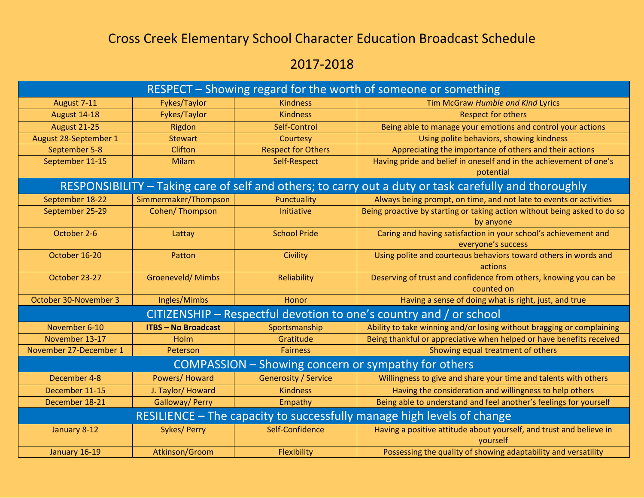## Cross Creek Elementary School Character Education Broadcast Schedule

## 2017-2018

| RESPECT - Showing regard for the worth of someone or something                                        |                            |                             |                                                                                        |  |
|-------------------------------------------------------------------------------------------------------|----------------------------|-----------------------------|----------------------------------------------------------------------------------------|--|
| August 7-11                                                                                           | Fykes/Taylor               | <b>Kindness</b>             | Tim McGraw Humble and Kind Lyrics                                                      |  |
| August 14-18                                                                                          | Fykes/Taylor               | <b>Kindness</b>             | <b>Respect for others</b>                                                              |  |
| <b>August 21-25</b>                                                                                   | Rigdon                     | Self-Control                | Being able to manage your emotions and control your actions                            |  |
| August 28-September 1                                                                                 | <b>Stewart</b>             | Courtesy                    | Using polite behaviors, showing kindness                                               |  |
| September 5-8                                                                                         | Clifton                    | <b>Respect for Others</b>   | Appreciating the importance of others and their actions                                |  |
| September 11-15                                                                                       | <b>Milam</b>               | Self-Respect                | Having pride and belief in oneself and in the achievement of one's<br>potential        |  |
| RESPONSIBILITY - Taking care of self and others; to carry out a duty or task carefully and thoroughly |                            |                             |                                                                                        |  |
| September 18-22                                                                                       | Simmermaker/Thompson       | Punctuality                 | Always being prompt, on time, and not late to events or activities                     |  |
| September 25-29                                                                                       | Cohen/Thompson             | Initiative                  | Being proactive by starting or taking action without being asked to do so<br>by anyone |  |
| October 2-6                                                                                           | Lattay                     | <b>School Pride</b>         | Caring and having satisfaction in your school's achievement and<br>everyone's success  |  |
| October 16-20                                                                                         | Patton                     | Civility                    | Using polite and courteous behaviors toward others in words and<br>actions             |  |
| October 23-27                                                                                         | <b>Groeneveld/ Mimbs</b>   | Reliability                 | Deserving of trust and confidence from others, knowing you can be<br>counted on        |  |
| October 30-November 3                                                                                 | Ingles/Mimbs               | Honor                       | Having a sense of doing what is right, just, and true                                  |  |
| CITIZENSHIP - Respectful devotion to one's country and / or school                                    |                            |                             |                                                                                        |  |
| November 6-10                                                                                         | <b>ITBS - No Broadcast</b> | Sportsmanship               | Ability to take winning and/or losing without bragging or complaining                  |  |
| November 13-17                                                                                        | Holm                       | Gratitude                   | Being thankful or appreciative when helped or have benefits received                   |  |
| November 27-December 1                                                                                | Peterson                   | <b>Fairness</b>             | Showing equal treatment of others                                                      |  |
| COMPASSION - Showing concern or sympathy for others                                                   |                            |                             |                                                                                        |  |
| December 4-8                                                                                          | Powers/Howard              | <b>Generosity / Service</b> | Willingness to give and share your time and talents with others                        |  |
| December 11-15                                                                                        | J. Taylor/ Howard          | <b>Kindness</b>             | Having the consideration and willingness to help others                                |  |
| December 18-21                                                                                        | Galloway/ Perry            | Empathy                     | Being able to understand and feel another's feelings for yourself                      |  |
| RESILIENCE - The capacity to successfully manage high levels of change                                |                            |                             |                                                                                        |  |
| January 8-12                                                                                          | <b>Sykes/ Perry</b>        | Self-Confidence             | Having a positive attitude about yourself, and trust and believe in<br>yourself        |  |
| January 16-19                                                                                         | Atkinson/Groom             | Flexibility                 | Possessing the quality of showing adaptability and versatility                         |  |